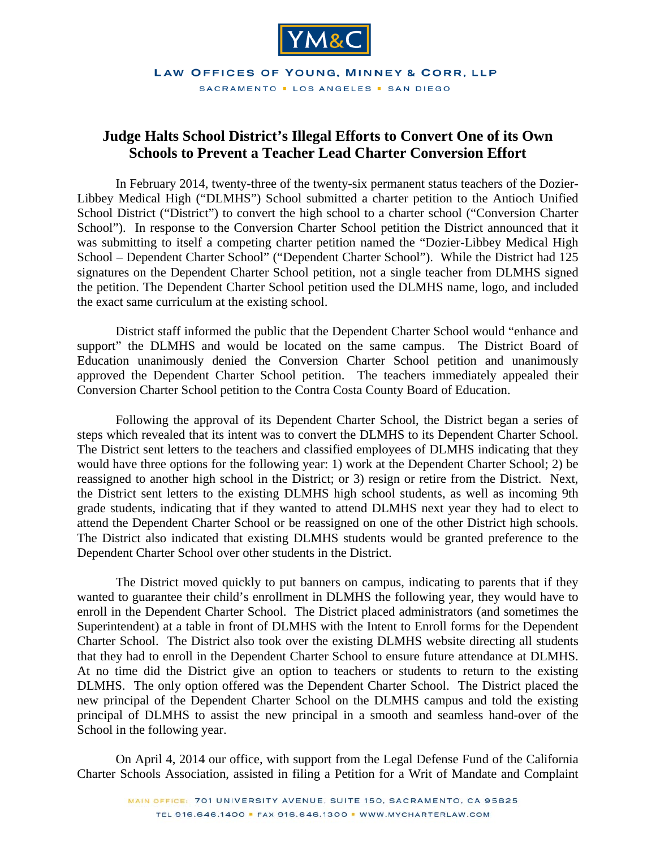

LAW OFFICES OF YOUNG, MINNEY & CORR, LLP SACRAMENTO . LOS ANGELES . SAN DIEGO

## **Judge Halts School District's Illegal Efforts to Convert One of its Own Schools to Prevent a Teacher Lead Charter Conversion Effort**

 In February 2014, twenty-three of the twenty-six permanent status teachers of the Dozier-Libbey Medical High ("DLMHS") School submitted a charter petition to the Antioch Unified School District ("District") to convert the high school to a charter school ("Conversion Charter School"). In response to the Conversion Charter School petition the District announced that it was submitting to itself a competing charter petition named the "Dozier-Libbey Medical High School – Dependent Charter School" ("Dependent Charter School"). While the District had 125 signatures on the Dependent Charter School petition, not a single teacher from DLMHS signed the petition. The Dependent Charter School petition used the DLMHS name, logo, and included the exact same curriculum at the existing school.

 District staff informed the public that the Dependent Charter School would "enhance and support" the DLMHS and would be located on the same campus. The District Board of Education unanimously denied the Conversion Charter School petition and unanimously approved the Dependent Charter School petition. The teachers immediately appealed their Conversion Charter School petition to the Contra Costa County Board of Education.

 Following the approval of its Dependent Charter School, the District began a series of steps which revealed that its intent was to convert the DLMHS to its Dependent Charter School. The District sent letters to the teachers and classified employees of DLMHS indicating that they would have three options for the following year: 1) work at the Dependent Charter School; 2) be reassigned to another high school in the District; or 3) resign or retire from the District. Next, the District sent letters to the existing DLMHS high school students, as well as incoming 9th grade students, indicating that if they wanted to attend DLMHS next year they had to elect to attend the Dependent Charter School or be reassigned on one of the other District high schools. The District also indicated that existing DLMHS students would be granted preference to the Dependent Charter School over other students in the District.

The District moved quickly to put banners on campus, indicating to parents that if they wanted to guarantee their child's enrollment in DLMHS the following year, they would have to enroll in the Dependent Charter School. The District placed administrators (and sometimes the Superintendent) at a table in front of DLMHS with the Intent to Enroll forms for the Dependent Charter School. The District also took over the existing DLMHS website directing all students that they had to enroll in the Dependent Charter School to ensure future attendance at DLMHS. At no time did the District give an option to teachers or students to return to the existing DLMHS. The only option offered was the Dependent Charter School. The District placed the new principal of the Dependent Charter School on the DLMHS campus and told the existing principal of DLMHS to assist the new principal in a smooth and seamless hand-over of the School in the following year.

 On April 4, 2014 our office, with support from the Legal Defense Fund of the California Charter Schools Association, assisted in filing a Petition for a Writ of Mandate and Complaint